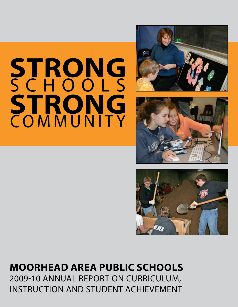# **STRONG** COMMUNITY **STRONG** SCHOOLS







### **Moorhead Area Public Schools** 2009-10 Annual Report on Curriculum,

Instruction and Student Achievement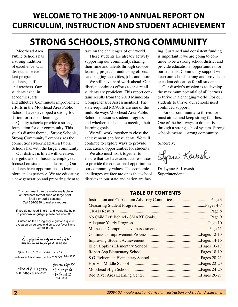### **Welcome to the 2009-10 Annual Report on Curriculum, Instruction and Student Achievement**

### **STrong Schools, Strong Community**

Moorhead Area Public Schools has a strong tradition of excellence. Our district has excellent programs, students, staff and teachers. Our students excel in academics, arts



and athletics. Continuous improvement efforts in the Moorhead Area Public Schools have developed a strong foundation for student learning.

Quality schools provide a strong foundation for our community. This year's district theme, "Strong Schools, Strong Community," emphasizes the connections Moorhead Area Public Schools has with the larger community.

 Our district is filled with creative, energetic and enthusiastic employees focused on students and learning. Our students have opportunities to learn, explore and experience. We are educating a new generation and preparing them to

This document can be made available in an alternate format such as large print, Braille or audio cassette. Call 284-3330 to make a request.

take on the challenges of our world.

These students are already actively supporting our community, sharing their time and talents through servicelearning projects, fundraising efforts, sandbagging, activities, jobs and more.

We still have hard work ahead. Our district continues efforts to ensure all students are proficient. This report contains results from the 2010 Minnesota Comprehensive Assessments-II. The state-required MCA-IIs are one of the multiple ways Moorhead Area Public Schools measures student progress and whether students are meeting their learning goals.

We will work together to close the achievement gap for students. We will continue to explore ways to provide educational opportunities for students.

We also must work together to ensure that we have adequate resources to provide the educational opportunities our community values. The economic challenges we face are ones that school districts in our state and nation are facing. Sustained and consistent funding is important if we are going to continue to be a strong school district and provide educational opportunities for our students. Community support will keep our schools strong and provide an excellent education for all students.

Our district's mission is to develop the maximum potential of all learners to thrive in a changing world. For our students to thrive, our schools need continued support.

For our community to thrive, we must attract and keep strong families. One of the best ways to do that is through a strong school system. Strong schools means a strong community.

Sincerely,

Gyrre Kovash

Dr. Lynne A. Kovash Superintendent

#### **Table of Contents**

If you do not read English and would like help in your own language, please call 284-3330. Si usted no lee en inglés y le gustaría que le ayudaran en su propio idioma, por favor llame al 284-3330.

Neu ban không biệt đọc tiếng Anh và muôn giup đổ trong ngôn ngữ cuả ban, xin gọi số 284-3330.

ئەتدر ئو بەئىنگىزدا نورانى بخينى، ئورىتىمىت .284-3330 هاركيا رقع بالماحو ، هيئية تدنينيا في نيهون بكمان

如果你不懂英语,并需要转语 540. 请打电话后 284-3330.

*ข้ะงาง ร*าน ราม รัฐ คิดล่ ใส .<br>กรุ้ไมนการนางเพล  $\frac{3}{2}$  as  $\int_{0}^{1}$  is  $\int_{0}^{1}$  as 284-3330.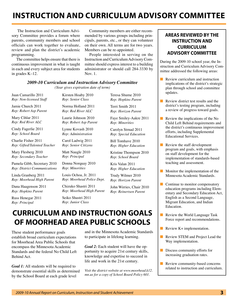### **Instruction and Curriculum Advisory Committee**

 The Instruction and Curriculum Advisory Committee provides a forum where parents, community members and school officials can work together to evaluate, review and plan the district's academic programming.

 The committee helps ensure that there is continuous improvement in what is taught in each and every subject area for students in grades K–12.

 Community members are either recommended by various groups including principals, parents, etc., or they can volunteer on their own. All terms are for two years. Members can be re-appointed.

 People interested in serving on the Instruction and Curriculum Advisory Committee should express interest to a building administrator or should call 284-3330 by Nov. 1.

#### *2009-10 Curriculum and Instruction Advisory Committee*

*(Year gives expiration date of term)*

| Juan Camarillo 2011                 | Kirsten Hoaby 2010     | Teresa Shume 2010      |
|-------------------------------------|------------------------|------------------------|
| Rep: Non-licensed Staff             | Rep: Senior Class      | Rep: Hopkins Parent    |
| Jamie Church 2011                   | Norma Holland 2011     | Terri Smith 2011       |
| Rep: Robert Asp Parent              | Rep: Red River ALC     | Rep: Horizon Parent    |
| Mary Cihlar 2011                    | Laurie Johnson 2010    | Faye Smiley-Aakre 2011 |
| Rep: Red River ALC                  | Rep: Robert Asp Parent | Rep: Minorities        |
| Cindy Fagerlie 2011                 | Lynne Kovash 2010      | Carolyn Strnad 2011    |
| Rep: School Board                   | Rep: Administration    | Rep: Special Education |
| Charlie Fisher 2011                 | Carol Ladwig 2011      | Bill Tomhave 2010      |
| Rep: Gifted/Talented Teacher        | Rep: Senior Citizens   | Rep: Higher Education  |
| Mary Flesberg 2010                  | Matt Naugle 2010       | Kristine Thompson 2010 |
| Rep: Secondary Teacher              | Rep: Principal         | Rep: School Board      |
| Pamela Gibb, Secretary 2010         | Donna Norquay 2010     | Kris Valan 2011        |
| <b>Rep: District Communications</b> | Rep: Minorities        | Rep: Higher Education  |
| Linda Granberg 2011                 | Louis Ochoa, Jr. 2011  | Trudy Wilmer 2010      |

*Rep: Moorhead High Parent*

Dana Haagenson 2011 *Rep: Hopkins Parent*

Russ Henegar 2011 *Rep: Principal*

Trudy Wilmer 2010 *Rep: Horizon Parent*

John Wirries, Chair 2010 *Rep: Reinertsen Parent*

### **Curriculum and Instruction Goals of Moorhead Area Public Schools**

*Rep: Moorhead Police Dept.*

Chizuko Shastri 2011 *Rep: Moorhead High Parent*

Seiko Shastri 2011 *Rep: Junior Class* 

These student performance goals establish broad curriculum expectations for Moorhead Area Public Schools that encompass the Minnesota Academic Standards and the federal No Child Left Behind Act.

*Goal 1:* All students will be required to demonstrate essential skills as determined by the School Board at each grade level

and in the Minnesota Academic Standards to participate in lifelong learning.

*Goal 2:* Each student will have the opportunity to acquire 21st century skills, knowledge and expertise to succeed in life and work in the 21st century.

*Visit the district website at www.moorhead.k12. mn.us for a copy of School Board Policy 601.*

#### **Areas reviewed by the Instruction and Curriculum Advisory Committee**

During the 2009-10 school year, the Instruction and Curriculum Advisory Committee addressed the following areas:

- Review curriculum and instruction implications of the district's strategic plan through school and committee updates.
- Review district test results and the district's testing program, including a review of progress toward goals.
- Review the implications of the No Child Left Behind requirements and the district's continuous improvement efforts, including Supplemental Educational Services.
- Review the staff development program and goals, with emphasis on staff development for the implementation of standards-based teaching and assessment.
- Monitor the implementation of the Minnesota Academic Standards.
- Continue to monitor compensatory education programs including Elementary and Secondary Education Act, English as a Second Language, Migrant Education, and Indian Education.
- Review the World Language Task Force report and recommendations.
- Review K+ implementation.
- Review STEM and Project Lead the Way implementation.
- Discuss community efforts for increasing graduation rates.
- Review community-based concerns related to instruction and curriculum.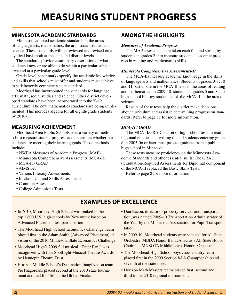## **Measuring Student Progress**

#### **Minnesota Academic Standards**

 Minnesota adopted academic standards in the areas of language arts, mathematics, the arts, social studies and science. These standards will be reviewed and revised on a cyclical basis both at the state and district levels.

 The standards provide a summary description of what students know or are able to do within a particular subject area and at a particular grade level.

 Grade-level benchmarks specify the academic knowledge and skills that schools must offer and students must achieve to satisfactorily complete a state standard.

 Moorhead has incorporated the standards for language arts, math, social studies and science. Other district developed standards have been incorporated into the K-12 curriculum. The new mathematics standards are being implemented. This includes algebra for all eighth-grade students by 2010-11.

#### **Measuring Achievement**

Moorhead Area Public Schools uses a variety of methods to measure student progress and determine whether our students are meeting their learning goals. Those methods include:

- NWEA Measures of Academic Progress (MAP)
- Minnesota Comprehensive Assessments (MCA-II)
- MCA-II / GRAD
- AIMSweb
- Various Literacy Assessments
- In-class Unit and Skills Assessments
- Common Assessments
- College Admissions Tests

#### **Among the Highlights**

#### *Measures of Academic Progress*

The MAP assessments are taken each fall and spring by students in grades 2-9 to measure students' academic progress in reading and mathematics skills.

#### *Minnesota Comprehensive Assessments-II*

The MCA-IIs measure academic knowledge in the skills of language arts and mathematics. Students in grades 3-8, 10 and 11 participate in the MCA-II tests in the areas of reading and mathematics. In 2009-10, students in grades 5 and 8 and high school biology students took the MCA-II in the area of science.

Results of these tests help the district make decisions about curriculum and assist in determining progress on standards. Refer to page 11 for more information.

#### *MCA-II / GRAD*

 The MCA-II/GRAD is a set of high school tests in reading, mathematics and writing that all students entering grade 8 in 2005-06 or later must pass to graduate from a public high school in Minnesota.

 These tests measure proficiency on the Minnesota Academic Standards and other essential skills. The GRAD (Graduation-Required Assessments for Diploma) component of the MCA-II replaced the Basic Skills Tests.

Refer to page 8 for more information.

### **Examples of Excellence**

- In 2010, Moorhead High School was ranked in the top 1,600 U.S. high schools by Newsweek based on Advanced Placement test participation.
- The Moorhead High School Economics Challenge Team placed first in the Adam Smith (Advanced Placement) division of the 2010 Minnesota State Economics Challenge.
- Moorhead High's 2009 fall musical, "Peter Pan," was recognized with four SpotLight Musical Theatre Awards by Hennepin Theatre Trust.
- Horizon Middle School's Destination ImagiNation team PieThagoreans placed second at the 2010 state tournament and tied for 15th at the Global Finals.
- Dan Bacon, director of property services and transportation, was named 2009-10 Transportation Administrator of the Year by the Minnesota Association for Pupil Transportation.
- In 2009-10, Moorhead students were selected for All-State Orchestra, MBDA Honor Band, Anacrusis All-State Honor Choir and MNSOTA Middle Level Honors Orchestra.
- The Moorhead High School boys cross country team placed first in the 2009 Section 8AA Championship and seventh at the state meet.
- Horizon Math Masters teams placed first, second and third in the 2010 regional tournament.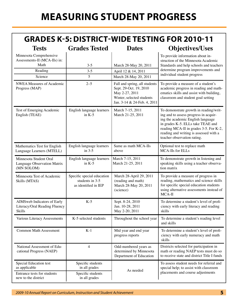### **Grades K-5: District-Wide Testing for 2010-11**

| <b>Tests</b>                                                                  | <b>Grades Tested</b>                                                  | <b>Dates</b>                                                                                                                          | <b>Objectives/Uses</b>                                                                                                                                                                                                                                                       |  |  |
|-------------------------------------------------------------------------------|-----------------------------------------------------------------------|---------------------------------------------------------------------------------------------------------------------------------------|------------------------------------------------------------------------------------------------------------------------------------------------------------------------------------------------------------------------------------------------------------------------------|--|--|
| Minnesota Comprehensive<br>Assessments-II (MCA-IIs) in:<br>Math<br>Reading    | $3 - 5$<br>$3 - 5$                                                    | March 28-May 20, 2011<br>April 12 & 14, 2011                                                                                          | To provide information about in-<br>struction of the Minnesota Academic<br>Standards and help schools and teachers<br>determine program improvements and                                                                                                                     |  |  |
| Science                                                                       | 5                                                                     | March 28-May 20, 2011                                                                                                                 | individual student progress                                                                                                                                                                                                                                                  |  |  |
| <b>NWEA</b> Measures of Academic<br>Progress (MAP)                            | $2 - 5$                                                               | Fall and spring, all students<br>Sept. 29-Oct. 19, 2010<br>May 2-27, 2011<br>Winter, selected students<br>Jan. 3-14 & 24-Feb. 4, 2011 | To provide a measure of a student's<br>academic progress in reading and math-<br>ematics skills and assist with building,<br>classroom and student goal setting                                                                                                              |  |  |
| Test of Emerging Academic<br>English (TEAE)                                   | English language learners<br>in $K-5$                                 | March 7-15, 2011<br>March 21-25, 2011                                                                                                 | To demonstrate growth in reading/writ-<br>ing and to assess progress in acquir-<br>ing the academic English language<br>in grades K-5. ELLs take TEAE and<br>reading MCA-II in grades 3-5. For K-2,<br>reading and writing is assessed with a<br>teacher observation rating. |  |  |
| Mathematics Test for English<br>Language Learners (MTELL)                     | English language learners<br>in $3-5$                                 | Same as math MCA-IIs<br>above                                                                                                         | Optional test to replace math<br>MCA-IIs for ELLs                                                                                                                                                                                                                            |  |  |
| Minnesota Student Oral<br>Language Observation Matrix<br>(MN SOLOM)           | English language learners<br>in $K-5$                                 | March 7-15, 2011<br>March 21-25, 2011                                                                                                 | To demonstrate growth in listening and<br>speaking skills using a teacher observa-<br>tion matrix                                                                                                                                                                            |  |  |
| Minnesota Test of Academic<br>Skills (MTAS)                                   | Specific special education<br>students in 3-5<br>as identified in IEP | March 28-April 29, 2011<br>(reading and math)<br>March 28-May 20, 2011<br>(science)                                                   | To provide a measure of progress in<br>reading, mathematics and science skills<br>for specific special education students<br>using alternative assessments instead of<br>MCA-II                                                                                              |  |  |
| AIMSweb Indicators of Early<br>Literacy/Oral Reading Fluency<br><b>Skills</b> | $K-5$                                                                 | Sept. 8-24, 2010<br>Jan. 10-28, 2011<br>May 2-20, 2011                                                                                | To determine a student's level of profi-<br>ciency with early literacy and reading<br>skills                                                                                                                                                                                 |  |  |
| Various Literacy Assessments                                                  | K-5 selected students                                                 | Throughout the school year                                                                                                            | To determine a student's reading level<br>and skills                                                                                                                                                                                                                         |  |  |
| <b>Common Math Assessment</b>                                                 | $K-1$                                                                 | Mid year and end year<br>progress reports                                                                                             | To determine a student's level of profi-<br>ciency with early numeracy and math<br>skills                                                                                                                                                                                    |  |  |
| National Assessment of Edu-<br>cational Progress (NAEP)                       | $\overline{4}$                                                        | Odd-numbered years as<br>determined by Minnesota<br>Department of Education                                                           | Districts selected for participation in<br>math or reading NAEP tests must do so<br>to receive state and district Title I funds                                                                                                                                              |  |  |
| Special Education test<br>as applicable<br>Entrance tests for students        | Specific students<br>in all grades                                    | As needed                                                                                                                             | To assess student needs for referral and<br>special help; to assist with classroom<br>placements and course adjustments                                                                                                                                                      |  |  |
| new to the district                                                           | Specific students<br>in all grades                                    |                                                                                                                                       |                                                                                                                                                                                                                                                                              |  |  |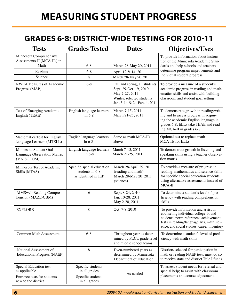### **Grades 6-8: District-Wide Testing for 2010-11**

| <b>Tests</b>                                                               | <b>Grades Tested</b>                                                  | <b>Dates</b>                                                                                                                          | <b>Objectives/Uses</b>                                                                                                                                                                                           |
|----------------------------------------------------------------------------|-----------------------------------------------------------------------|---------------------------------------------------------------------------------------------------------------------------------------|------------------------------------------------------------------------------------------------------------------------------------------------------------------------------------------------------------------|
| Minnesota Comprehensive<br>Assessments-II (MCA-IIs) in:<br>Math<br>Reading | $6 - 8$<br>$6 - 8$                                                    | March 28-May 20, 2011<br>April 12 & 14, 2011                                                                                          | To provide information about instruc-<br>tion of the Minnesota Academic Stan-<br>dards and help schools and teachers<br>determine program improvements and                                                       |
| Science                                                                    | 8                                                                     | March 28-May 20, 2011                                                                                                                 | individual student progress                                                                                                                                                                                      |
| <b>NWEA Measures of Academic</b><br>Progress (MAP)                         | $6 - 8$                                                               | Fall and spring, all students<br>Sept. 29-Oct. 19, 2010<br>May 2-27, 2011<br>Winter, selected students<br>Jan. 3-14 & 24-Feb. 4, 2011 | To provide a measure of a student's<br>academic progress in reading and math-<br>ematics skills and assist with building,<br>classroom and student goal setting                                                  |
| Test of Emerging Academic<br>English (TEAE)                                | English language learners<br>in $6-8$                                 | March 7-15, 2011<br>March 21-25, 2011                                                                                                 | To demonstrate growth in reading/writ-<br>ing and to assess progress in acquir-<br>ing the academic English language in<br>grades 6-8. ELLs take TEAE and read-<br>ing MCA-II in grades 6-8.                     |
| Mathematics Test for English<br>Language Learners (MTELL)                  | English language learners<br>in $6-8$                                 | Same as math MCA-IIs<br>above                                                                                                         | Optional test to replace math<br>MCA-IIs for ELLs                                                                                                                                                                |
| Minnesota Student Oral<br>Language Observation Matrix<br>(MN SOLOM)        | English language learners<br>in $6-8$                                 | March 7-15, 2011<br>March 21-25, 2011                                                                                                 | To demonstrate growth in listening and<br>speaking skills using a teacher observa-<br>tion matrix                                                                                                                |
| Minnesota Test of Academic<br>Skills (MTAS)                                | Specific special education<br>students in 6-8<br>as identified in IEP | March 28-April 29, 2011<br>(reading and math)<br>March 28-May 20, 2011<br>(science)                                                   | To provide a measure of progress in<br>reading, mathematics and science skills<br>for specific special education students<br>using alternative assessments instead of<br>MCA-II                                  |
| AIMSweb Reading Compre-<br>hension (MAZE-CBM)                              | 6                                                                     | Sept. 8-24, 2010<br>Jan. 10-28, 2011<br>May 2-20, 2011                                                                                | To determine a student's level of pro-<br>ficiency with reading comprehension<br>skills                                                                                                                          |
| <b>EXPLORE</b>                                                             | 8                                                                     | Oct. 7-8, 2010                                                                                                                        | To provide information and assist in<br>counseling individual college-bound<br>students: norm-referenced achievement<br>tests in reading/language arts, math, sci-<br>ence, and social studies; career inventory |
| <b>Common Math Assessment</b>                                              | $6 - 8$                                                               | Throughout year as deter-<br>mined by PLCs, grade level<br>and middle school teams                                                    | To determine a student's level of profi-<br>ciency with math skills                                                                                                                                              |
| National Assessment of<br><b>Educational Progress (NAEP)</b>               | 8                                                                     | Even-numbered years as<br>determined by Minnesota<br>Department of Education                                                          | Districts selected for participation in<br>math or reading NAEP tests must do so<br>to receive state and district Title I funds                                                                                  |
| Special Education test<br>as applicable                                    | Specific students<br>in all grades                                    | As needed                                                                                                                             | To assess student needs for referral and<br>special help; to assist with classroom                                                                                                                               |
| Entrance tests for students<br>new to the district                         | Specific students<br>in all grades                                    |                                                                                                                                       | placements and course adjustments                                                                                                                                                                                |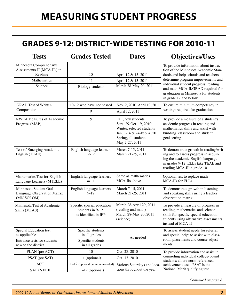## **Measuring Student Progress**

### **Grades 9-12: District-Wide Testing for 2010-11**

| <b>Tests</b>                                                                                                          | <b>Grades Tested</b>                            | <b>Dates</b>                                                                                                                                       | <b>Objectives/Uses</b>                                                                                                                                                                                                                                                                                   |  |  |
|-----------------------------------------------------------------------------------------------------------------------|-------------------------------------------------|----------------------------------------------------------------------------------------------------------------------------------------------------|----------------------------------------------------------------------------------------------------------------------------------------------------------------------------------------------------------------------------------------------------------------------------------------------------------|--|--|
| Minnesota Comprehensive<br>Assessments-II (MCA-IIs) in:<br>Reading<br>Mathematics<br>Science                          | 10<br>11<br><b>Biology</b> students             | April 12 & 13, 2011<br>April 12 & 13, 2011<br>March 28-May 20, 2011                                                                                | To provide information about instruc-<br>tion of the Minnesota Academic Stan-<br>dards and help schools and teachers<br>determine program improvements and<br>individual student progress; reading<br>and math MCA-II/GRAD required for<br>graduation in Minnesota for students<br>in grade 12 and below |  |  |
| <b>GRAD</b> Test of Written                                                                                           | 10-12 who have not passed                       | Nov. 2, 2010, April 19, 2011                                                                                                                       | To ensure minimum competency in                                                                                                                                                                                                                                                                          |  |  |
| Composition                                                                                                           | 9                                               | April 12, 2011                                                                                                                                     | writing; required for graduation                                                                                                                                                                                                                                                                         |  |  |
| <b>NWEA Measures of Academic</b><br>Progress (MAP)                                                                    | 9                                               | Fall, new students<br>Sept. 29-Oct. 19, 2010<br>Winter, selected students<br>Jan. 3-14 & 24-Feb. 4, 2011<br>Spring, all students<br>May 2-27, 2011 | To provide a measure of a student's<br>academic progress in reading and<br>mathematics skills and assist with<br>building, classroom and student<br>goal setting                                                                                                                                         |  |  |
| Test of Emerging Academic<br>English (TEAE)                                                                           | English language learners<br>$9 - 12$           | March 7-15, 2011<br>March 21-25, 2011                                                                                                              | To demonstrate growth in reading/writ-<br>ing and to assess progress in acquir-<br>ing the academic English language<br>in grades 9-12. ELLs take TEAE and<br>reading MCA-II in grade 10.                                                                                                                |  |  |
| Mathematics Test for English<br>Language Learners (MTELL)                                                             | English language learners<br>in 11              | Same as mathematics<br>MCA-IIs above                                                                                                               | Optional test to replace math<br>MCA-IIs for ELLs                                                                                                                                                                                                                                                        |  |  |
| Minnesota Student Oral<br>Language Observation Matrix<br>(MN SOLOM)                                                   | English language learners<br>$9 - 12$           | March 7-15, 2011<br>March 21-25, 2011                                                                                                              | To demonstrate growth in listening<br>and speaking skills using a teacher<br>observation matrix                                                                                                                                                                                                          |  |  |
| Specific special education<br>Minnesota Test of Academic<br>students in 9-12<br>Skills (MTAS)<br>as identified in IEP |                                                 | March 28-April 29, 2011<br>(reading and math)<br>March 28-May 20, 2011<br>(science)                                                                | To provide a measure of progress in<br>reading, mathematics and science<br>skills for specific special education<br>students using alternative assessments<br>instead of MCA-II                                                                                                                          |  |  |
| Special Education test<br>as applicable                                                                               | Specific students<br>in all grades              | As needed                                                                                                                                          | To assess student needs for referral<br>and special help; to assist with class-                                                                                                                                                                                                                          |  |  |
| Entrance tests for students<br>new to the district                                                                    | Specific students<br>in all grades              |                                                                                                                                                    | room placements and course adjust-<br>ments                                                                                                                                                                                                                                                              |  |  |
| PLAN (pre ACT)                                                                                                        | 10                                              | Oct. 28, 2010                                                                                                                                      | To provide information and assist in                                                                                                                                                                                                                                                                     |  |  |
| PSAT (pre SAT)                                                                                                        | 11 (optional)                                   | Oct. 13, 2010                                                                                                                                      | counseling individual college-bound<br>students; all are norm-referenced                                                                                                                                                                                                                                 |  |  |
| <b>ACT</b>                                                                                                            | $11-12$ (optional but recommended)              | Various Saturdays and loca-                                                                                                                        | achievement tests; PSAT is the                                                                                                                                                                                                                                                                           |  |  |
| SAT / SAT II                                                                                                          | tions throughout the year<br>$11-12$ (optional) |                                                                                                                                                    | National Merit qualifying test                                                                                                                                                                                                                                                                           |  |  |

*Continued on page 8*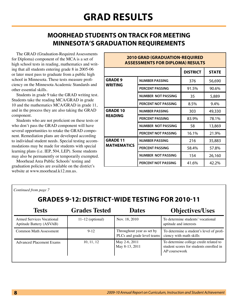### **Moorhead students on track for meeting Minnesota's graduation requirements**

The GRAD (Graduation-Required Assessments for Diploma) component of the MCA is a set of high school tests in reading, mathematics and writing that all students entering grade 8 in 2005-06 or later must pass to graduate from a public high school in Minnesota. These tests measure proficiency on the Minnesota Academic Standards and other essential skills.

Students in grade 9 take the GRAD writing test. Students take the reading MCA/GRAD in grade 10 and the mathematics MCA/GRAD in grade 11, and in the process they are also taking the GRAD component.

 Students who are not proficient on these tests or who don't pass the GRAD component will have several opportunities to retake the GRAD component. Remediation plans are developed according to individual student needs. Special testing accommodations may be made for students with special learning plans (i.e. IEP, 504, LEP). Some students may also be permanently or temporarily exempted.

Moorhead Area Public Schools' testing and graduation policies are available on the district's website at www.moorhead.k12.mn.us.

*Continued from page 7*

| <b>2010 GRAD (GRADUATION-REQUIRED</b><br><b>ASSESSMENTS FOR DIPLOMA) RESULTS</b> |                                 |       |        |  |  |  |  |  |
|----------------------------------------------------------------------------------|---------------------------------|-------|--------|--|--|--|--|--|
|                                                                                  | <b>DISTRICT</b><br><b>STATE</b> |       |        |  |  |  |  |  |
| <b>GRADE 9</b>                                                                   | <b>NUMBER PASSING</b>           | 376   | 56,690 |  |  |  |  |  |
| <b>WRITING</b>                                                                   | <b>PERCENT PASSING</b>          | 91.5% | 90.6%  |  |  |  |  |  |
|                                                                                  | NUMBER NOT PASSING              | 35    | 5,889  |  |  |  |  |  |
|                                                                                  | PERCENT NOT PASSING             | 8.5%  | 9.4%   |  |  |  |  |  |
| <b>GRADE 10</b>                                                                  | <b>NUMBER PASSING</b>           | 303   | 49,330 |  |  |  |  |  |
| <b>READING</b>                                                                   | <b>PERCENT PASSING</b>          | 83.9% | 78.1%  |  |  |  |  |  |
|                                                                                  | <b>NUMBER NOT PASSING</b>       | 58    | 13,869 |  |  |  |  |  |
|                                                                                  | <b>PERCENT NOT PASSING</b>      | 16.1% | 21.9%  |  |  |  |  |  |
| <b>GRADE 11</b>                                                                  | <b>NUMBER PASSING</b>           | 216   | 35,883 |  |  |  |  |  |
| <b>MATHEMATICS</b>                                                               | <b>PERCENT PASSING</b>          | 58.4% | 57.8%  |  |  |  |  |  |
|                                                                                  | <b>NUMBER NOT PASSING</b>       | 154   | 26,160 |  |  |  |  |  |
|                                                                                  | PERCENT NOT PASSING             | 41.6% | 42.2%  |  |  |  |  |  |

### **Grades 9-12: District-Wide Testing for 2010-11**

| <b>Tests</b>                                          | <b>Grades Tested</b> | <b>Dates</b>                                            | <b>Objectives/Uses</b>                                                                             |
|-------------------------------------------------------|----------------------|---------------------------------------------------------|----------------------------------------------------------------------------------------------------|
| Armed Services Vocational<br>Aptitude Battery (ASVAB) | $11-12$ (optional)   | Nov. 18, 2010                                           | To determine students' vocational<br>aptitude and interests                                        |
| Common Math Assessment                                | $9-12$               | Throughout year as set by<br>PLCs and grade level teams | To determine a student's level of profi-<br>ciency with math skills                                |
| <b>Advanced Placement Exams</b>                       | 10, 11, 12           | May 2-6, 2011<br>May 8-13, 2011                         | To determine college credit related to<br>student scores for students enrolled in<br>AP coursework |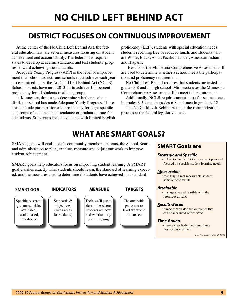### **District focuses on continuous improvement**

At the center of the No Child Left Behind Act, the federal education law, are several measures focusing on student achievement and accountability. The federal law requires states to develop academic standards and test students' progress toward achieving the standards.

 Adequate Yearly Progress (AYP) is the level of improvement that school districts and schools must achieve each year as determined under the No Child Left Behind Act (NCLB). School districts have until 2013-14 to achieve 100 percent proficiency for all students in all subgroups.

In Minnesota, three areas determine whether a school district or school has made Adequate Yearly Progress. Those areas include participation and proficiency for eight specific subgroups of students and attendance or graduation rate for all students. Subgroups include students with limited English proficiency (LEP), students with special education needs, students receiving free or reduced lunch, and students who are White, Black, Asian/Pacific Islander, American Indian, and Hispanic.

 Results of the Minnesota Comprehensive Assessments-II are used to determine whether a school meets the participation and proficiency requirements.

No Child Left Behind requires that students are tested in grades 3-8 and in high school. Minnesota uses the Minnesota Comprehensive Assessments-II to meet this requirement.

Additionally, NCLB requires annual tests for science once in grades 3-5, once in grades 6-8 and once in grades 9-12.

The No Child Left Behind Act is in the reauthorization process at the federal legislative level.

### **What are SMART Goals?**

SMART goals will enable staff, community members, parents, the School Board and administration to plan, execute, measure and adjust our work to improve student achievement.

SMART goals help educators focus on improving student learning. A SMART goal clarifies exactly what students should learn, the standard of learning expected, and the measures used to determine if students have achieved that standard.

Specific & strategic, measurable, attainable, results-based, time-bound

#### **SMART Goal Indicators Measure Targets**

Standards & objectives (weak areas for students)

Tools we'll use to determine where students are now and whether they are improving

The attainable performance level we would like to see

#### **SMART Goals are**

#### *Strategic and Specific*

 • linked to the district improvement plan and focused on specific student learning needs

#### *Measurable*

 • resulting in real measurable student achievement results

#### *Attainable*

 • manageable and feasible with the resources at hand

#### *Results-Based*

 • aimed at well-defined outcomes that can be measured or observed

#### *Time-Bound*

 • have a clearly defined time frame for accomplishment

*(from Conzemius & O'Neill, 2002)*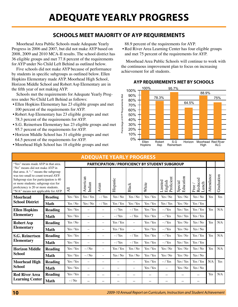#### **Schools meet majority of AYP Requirements**

Moorhead Area Public Schools made Adequate Yearly Progress in 2006 and 2007, but did not make AYP based on 2008, 2009 and 2010 MCA-II results. The school district has 36 eligible groups and met 77.8 percent of the requirements for AYP under No Child Left Behind as outlined below.

Five schools did not make AYP because of performance by students in specific subgroups as outlined below. Ellen Hopkins Elementary made AYP. Moorhead High School, Horizon Middle School and Robert Asp Elementary are in the fifth year of not making AYP.

Schools met the requirements for Adequate Yearly Progress under No Child Left Behind as follows:

- Ellen Hopkins Elementary has 23 eligible groups and met 100 percent of the requirements for AYP.
- Robert Asp Elementary has 23 eligible groups and met 78.3 percent of the requirements for AYP.
- S.G. Reinertsen Elementary has 23 eligible groups and met 95.7 percent of the requirements for AYP.
- • Horizon Middle School has 31 eligible groups and met 64.5 percent of the requirements for AYP.
- • Moorhead High School has 18 eligible groups and met

88.9 percent of the requirements for AYP.

• Red River Area Learning Center has four eligible groups and met 75 percent of the requirements for AYP.

Moorhead Area Public Schools will continue to work with the continuous improvement plan to focus on increasing achievement for all students.



#### **AYP Requirements Met by Schools**

| <b>ADEQUATE YEARLY PROGRESS</b>                                                                                                                                                                                                                                           |                |                 |                          |                          |                   |                          |                          |                                                        |                          |                           |            |            |
|---------------------------------------------------------------------------------------------------------------------------------------------------------------------------------------------------------------------------------------------------------------------------|----------------|-----------------|--------------------------|--------------------------|-------------------|--------------------------|--------------------------|--------------------------------------------------------|--------------------------|---------------------------|------------|------------|
| "Yes" means made AYP in that area.                                                                                                                                                                                                                                        |                |                 |                          |                          |                   |                          |                          | <b>PARTICIPATION / PROFICIENCY BY STUDENT SUBGROUP</b> |                          |                           |            |            |
| "No" means did not make AYP in<br>that area. A "-" means the subgroup<br>was too small to count toward AYP.<br>Subgroup size for participation is 40<br>or more students; subgroup size for<br>proficiency is 20 or more students.<br>"N/A" means not applicable for AYP. |                | $\overline{AB}$ | American<br>Indian       | Asian                    | Hispanic          | Black                    | White                    | Proficient<br>imited<br>English                        | Education<br>Special     | Reduced<br>Lunch<br>Free. | Attendance | Graduation |
| <b>Moorhead</b>                                                                                                                                                                                                                                                           | <b>Reading</b> | Yes / Yes       | Yes / Yes                | $-$ / Yes                | Yes / No          | Yes / No                 | Yes / Yes                | Yes / No                                               | Yes / No                 | Yes / No                  | Yes        | Yes        |
| <b>School District</b>                                                                                                                                                                                                                                                    | <b>Math</b>    | Yes / No        | Yes / No                 | $-$ / Yes                | Yes / Yes         | Yes / Yes                | Yes / Yes                | Yes / Yes                                              | Yes / No                 | Yes / Yes                 |            |            |
| <b>Ellen Hopkins</b><br><b>Elementary</b>                                                                                                                                                                                                                                 | <b>Reading</b> | Yes / Yes       | $\overline{\phantom{0}}$ | $\qquad \qquad -$        | $-$ / Yes         | $-$ / Yes                | Yes / Yes                | $-$ / Yes                                              | Yes / Yes                | Yes / Yes                 | Yes        | N/A        |
|                                                                                                                                                                                                                                                                           | <b>Math</b>    | Yes / Yes       | $\overline{\phantom{0}}$ |                          | $-$ / Yes         | $-$ / Yes                | Yes / Yes                | $-$ / Yes                                              | Yes / Yes                | Yes / Yes                 |            |            |
| <b>Robert Asp</b>                                                                                                                                                                                                                                                         | <b>Reading</b> | Yes / No        | $\overline{\phantom{0}}$ | $\qquad \qquad -$        | Yes / Yes         | -                        | Yes / Yes                | $-$ / Yes                                              | Yes / No                 | Yes / No                  | Yes        | N/A        |
| <b>Elementary</b>                                                                                                                                                                                                                                                         | <b>Math</b>    | Yes / Yes       | $\qquad \qquad -$        | $\qquad \qquad$          | Yes / Yes         | $\overline{\phantom{m}}$ | Yes / Yes                | $-$ / Yes                                              | Yes / No                 | Yes / No                  |            |            |
| <b>S.G. Reinertsen</b>                                                                                                                                                                                                                                                    | <b>Reading</b> | Yes / Yes       | $\qquad \qquad -$        | $\qquad \qquad$          | $-$ / Yes         | $-$ / Yes                | Yes / Yes                | $-$ / Yes                                              | Yes / No                 | Yes / Yes                 | Yes        | N/A        |
| <b>Elementary</b>                                                                                                                                                                                                                                                         | <b>Math</b>    | Yes / Yes       | $\qquad \qquad -$        | $\qquad \qquad -$        | $-$ / Yes         | $-$ / Yes                | Yes / Yes                | $-$ / Yes                                              | Yes / Yes                | Yes / Yes                 |            |            |
| <b>Horizon Middle</b>                                                                                                                                                                                                                                                     | <b>Reading</b> | Yes / Yes       | $-$ /No                  | $\qquad \qquad -$        | Yes / Yes         | Yes / No                 | Yes / Yes                | Yes / No                                               | Yes / No                 | Yes / No                  | Yes        | N/A        |
| <b>School</b>                                                                                                                                                                                                                                                             | <b>Math</b>    | Yes / Yes       | $-/$ No                  | $\overline{\phantom{m}}$ | Yes / No          | Yes / No                 | Yes / Yes                | Yes / No                                               | Yes / No                 | Yes / No                  |            |            |
| <b>Moorhead High</b><br><b>School</b>                                                                                                                                                                                                                                     | <b>Reading</b> | Yes / Yes       | $\equiv$                 | $\qquad \qquad$          | $\qquad \qquad -$ | $\overline{\phantom{0}}$ | Yes / Yes                | $-$ / Yes                                              | Yes / Yes                | Yes / Yes                 | N/A        | Yes        |
|                                                                                                                                                                                                                                                                           | <b>Math</b>    | Yes / Yes       | $\equiv$                 | $\qquad \qquad -$        |                   | $\overline{\phantom{m}}$ | Yes / Yes                | $\qquad \qquad -$                                      | Yes / No                 | Yes / No                  |            |            |
| <b>Red River Area</b>                                                                                                                                                                                                                                                     | <b>Reading</b> | Yes / Yes       |                          | $\overline{\phantom{0}}$ | —                 | $\overline{\phantom{0}}$ | $\overline{\phantom{0}}$ |                                                        | $\overline{\phantom{0}}$ | $\overline{\phantom{0}}$  | Yes        | N/A        |
| <b>Learning Center</b>                                                                                                                                                                                                                                                    | <b>Math</b>    | $-/$ No         |                          |                          |                   |                          |                          |                                                        |                          |                           |            |            |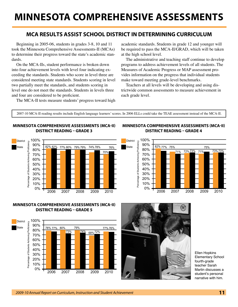## **Minnesota Comprehensive Assessments**

#### **MCA results assist school district in determining curriculum**

Beginning in 2005-06, students in grades 3-8, 10 and 11 took the Minnesota Comprehensive Assessments-II (MCAs) to determine their progress toward the state's academic standards.

On the MCA-IIs, student performance is broken down into four achievement levels with level four indicating exceeding the standards. Students who score in level three are considered meeting state standards. Students scoring in level two partially meet the standards, and students scoring in level one do not meet the standards. Students in levels three and four are considered to be proficient.

The MCA-II tests measure students' progress toward high

academic standards. Students in grade 12 and younger will be required to pass the MCA-II/GRAD, which will be taken at the high school level.

The administrative and teaching staff continue to develop programs to address achievement levels of all students. The Measures of Academic Progress or MAP assessment provides information on the progress that individual students make toward meeting grade-level benchmarks.

Teachers at all levels will be developing and using districtwide common assessments to measure achievement in each grade level.

2007-10 MCA-II reading results include English language learners' scores. In 2006 ELLs could take the TEAE assessment instead of the MCA-II.

#### **Minnesota Comprehensive Assessments (MCA-II) District Reading – Grade 3**



#### **Minnesota Comprehensive Assessments (MCA-II) District Reading – Grade 4**



#### **Minnesota Comprehensive Assessments (MCA-II) District Reading – Grade 5**





Ellen Hopkins Elementary School fourth-grade teacher Sarah Martin discusses a student's personal narrative with him.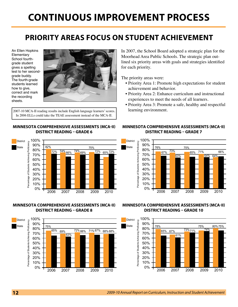### **Priority Areas focus on student achievement**

An Ellen Hopkins **Elementary** School fourthgrade student gives a spelling test to her secondgrade buddy. The fourth-grade students learned how to give, correct and mark the recording sheets.



2007-10 MCA-II reading results include English language learners' scores. In 2006 ELLs could take the TEAE assessment instead of the MCA-II.

#### **Minnesota Comprehensive Assessments (MCA-II) District Reading – Grade 6**



#### **Minnesota Comprehensive Assessments (MCA-II) District Reading – Grade 8**



In 2007, the School Board adopted a strategic plan for the Moorhead Area Public Schools. The strategic plan outlined six priority areas with goals and strategies identified for each priority.

The priority areas were:

- Priority Area 1: Promote high expectations for student achievement and behavior.
- Priority Area 2: Enhance curriculum and instructional experiences to meet the needs of all learners.
- Priority Area 3: Promote a safe, healthy and respectful learning environment.

#### **Minnesota Comprehensive Assessments (MCA-II) District Reading – Grade 7**



**Minnesota Comprehensive Assessments (MCA-II) District Reading – Grade 10**

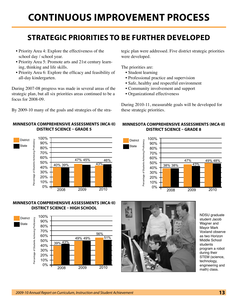## **Continuous Improvement Process**

### **Strategic Priorities to Be further Developed**

- Priority Area 4: Explore the effectiveness of the school day / school year.
- Priority Area 5: Promote arts and 21st century learning, thinking and life skills.
- Priority Area 6: Explore the efficacy and feasibility of all-day kindergarten.

During 2007-08 progress was made in several areas of the strategic plan, but all six priorities areas continued to be a focus for 2008-09.

By 2009-10 many of the goals and strategies of the stra-

#### **Minnesota Comprehensive Assessments (MCA-II) District Science – Grade 5**



#### **Minnesota Comprehensive Assessments (MCA-II) District Science – High School**



tegic plan were addressed. Five district strategic priorities were developed.

The priorities are:

- Student learning
- • Professional practice and supervision
- Safe, healthy and respectful environment
- Community involvement and support
- Organizational effectiveness

During 2010-11, measurable goals will be developed for these strategic priorities.

#### **Minnesota Comprehensive Assessments (MCA-II) District Science – Grade 8**





NDSU graduate student Jacob Wagner and Mayor Mark Voxland observe as two Horizon Middle School students program a robot during their STEM (science, technology, engineering and math) class.

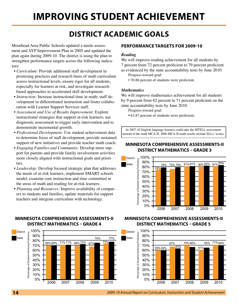## **Improving Student Achievement**

### **District Academic Goals**

Moorhead Area Public Schools updated a needs assessment and AYP Improvement Plan in 2005 and updated the plan again during 2009-10. The district is using the plan to strengthen performance targets across the following indicators:

- *• Curriculum:* Provide additional staff development in promising practices and research basis of math curriculum across instructional levels, ensure rigor for all students, especially for learners at risk, and investigate researchbased approaches to accelerated skill development.
- *• Instruction:* Increase instructional time in math; staff development in differentiated instruction and foster collaboration with Learner Support Services staff.
- *• Assessment and Use of Results Improvement:* Explore instructional strategies that support at-risk learners; use diagnostic assessment to trigger early intervention and to demonstrate incremental growth.
- *• Professional Development:* Use student achievement data to determine focus of staff development, provide sustained support of new initiatives and provide teacher math coach.
- *• Engaging Families and Community:* Develop more support for parents and provide family involvement activities more closely aligned with instructional goals and priorities.
- *• Leadership:* Develop focused strategic plan that addresses the needs of at-risk learners, implement SMART schools model, examine core instruction and time committed in the areas of math and reading for at-risk learners.
- *• Planning and Resources:* Improve availability of computers to students and families, update materials for support teachers and integrate curriculum with technology.

#### **Minnesota Comprehensive Assessments-II District Mathematics – Grade 4**



#### **Performance Targets for 2009-10**

#### *Reading*

We will improve reading achievement for all students by 7 percent from 72 percent proficient to 79 percent proficient as evidenced by the state accountability tests by June 2010.

- Progress toward goal:
- 70.86 percent of students were proficient.

#### *Mathematics*

We will improve mathematics achievement for all students by 9 percent from 62 percent to 71 percent proficient on the state accountability tests by June 2010.

Progress toward goal:

 • 63.87 percent of students were proficient.

In 2007-10 English language learners could take the MTELL assessment instead of the math MCA-II. 2006 MCA-II math results include ELLs' scores.

#### **Minnesota Comprehensive Assessments-II District Mathematics – Grade 3**



#### **Minnesota Comprehensive Assessments-II District Mathematics – Grade 5**

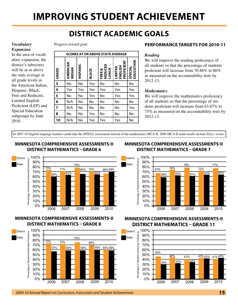## **Improving Student Achievement**

### **District Academic Goals**

#### *Vocabulary Expansion*

In the area of vocabulary expansion, the district's subscores will be at or above the state average at all grade levels in the American Indian, Hispanic, Black, Free and Reduced, Limited English Proficient (LEP) and Special Education subgroups by June 2010.

#### Progress toward goal:

|       | <b>SCORES AT OR ABOVE STATE AVERAGE</b> |          |              |                                      |                                  |                      |  |
|-------|-----------------------------------------|----------|--------------|--------------------------------------|----------------------------------|----------------------|--|
| GRADE | AMERICAN<br><b>INDIAN</b>               | HISPANIC | <b>BLACK</b> | REDUCED<br>త<br><b>LUNCH</b><br>FREE | PROFICIENT<br>ENGLISH<br>LIMITED | EDUCATION<br>SPECIAL |  |
| 3     | No                                      | No       | Yes          | No                                   | No                               | No                   |  |
| 4     | Yes                                     | Yes      | Yes          | Yes                                  | Yes                              | Yes                  |  |
| 5     | No                                      | No       | Yes          | No                                   | Yes                              | Yes                  |  |
| 6     | N/A                                     | No       | No           | No                                   | No                               | No                   |  |
| 7     | N/A                                     | No       | No           | No                                   | No                               | Yes                  |  |
| 8     | No                                      | No       | Yes          | No                                   | No                               | No                   |  |
| 10    | N/A                                     | No       | Yes          | Yes                                  | Yes                              | No                   |  |

#### **Performance Targets for 2010-11**

#### *Reading*

We will improve the reading proficiency of all students so that the percentage of students proficient will increase from 70.86% to 80% as measured on the accountability tests by 2012-13.

#### *Mathematics*

We will improve the mathematics proficiency of all students so that the percentage of students proficient will increase from 63.87% to 75% as measured on the accountability tests by 2012-13.

In 2007-10 English language learners could take the MTELL assessment instead of the mathematics MCA-II. 2006 MCA-II math results include ELLs' scores.

District State

#### **Minnesota Comprehensive Assessments-II District Mathematics – Grade 6**



#### **Minnesota Comprehensive Assessments-II District Mathematics – Grade 8**



#### **Minnesota Comprehensive Assessments-II District Mathematics – Grade 7**



#### **Minnesota Comprehensive Assessments-II District Mathematics – Grade 11**

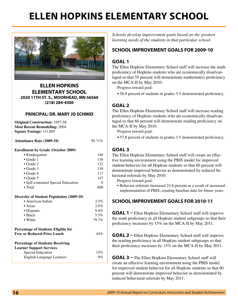## **Ellen Hopkins Elementary School**



**Ellen Hopkins Elementary School 2020 11th St. S., Moorhead, MN 56560 (218) 284-4300**

#### **Principal: Dr. Mary Jo Schmid**

**Original Construction:** 1957-58 **Most Recent Remodeling:** 2004 **Square Footage:** 111,005

**Attendance Rate (2009-10)** 95.71%

#### **Enrollment by Grade (October 2009)**

| • Kindergarten                            | 146   |
|-------------------------------------------|-------|
| $\bullet$ Grade 1                         | 138   |
| $\bullet$ Grade 2                         | 122   |
| $\bullet$ Grade 3                         | 130   |
| $\bullet$ Grade 4                         | 117   |
| $\bullet$ Grade 5                         | 147   |
| • Self-contained Special Education        | 0     |
| $\bullet$ Total                           | 800   |
| Diversity of Student Population (2009-10) |       |
| • American Indian                         | 3.5%  |
| $\bullet$ Asian                           | 2.0%  |
| • Hispanic                                | 9.4%  |
| $\bullet$ Black                           | 5.5%  |
| • White                                   | 79.7% |
|                                           |       |

#### **Percentage of Students Eligible for Free or Reduced-Price Lunch** 44%

#### **Percentage of Students Receiving**

| Learner Support Services  |       |
|---------------------------|-------|
| Special Education         | 15%   |
| English Language Learners | $9\%$ |

*Schools develop improvement goals based on the greatest learning needs of the students in that particular school.*

#### **School Improvement Goals for 2009-10**

#### **Goal 1**

The Ellen Hopkins Elementary School staff will increase the math proficiency of Hopkins students who are economically disadvantaged so that 55 percent will demonstrate mathematics proficiency on the MCA-II by May 2010.

Progress toward goal:

 **•** 58.9 percent of students in grades 3-5 demonstrated proficiency.

#### **Goal 2**

The Ellen Hopkins Elementary School staff will increase reading proficiency of Hopkins students who are economically disadvantaged so that 60 percent will demonstrate reading proficiency on the MCA-II by May 2010.

Progress toward goal:

 **•** 57.8 percent of students in grades 3-5 demonstrated proficiency.

#### **Goal 3**

The Ellen Hopkins Elementary School staff will create an effective learning environment using the PBIS model for improved student behavior for all Hopkins students so that 60 percent will demonstrate improved behavior as demonstrated by reduced behavioral referrals by May 2010.

Progress toward goal:

 • Behavior referrals increased 23.8 percent as a result of increased implementation of PBIS, creating baseline data for future years.

#### **School Improvement Goals for 2010-11**

**GOAL 1** – Ellen Hopkins Elementary School staff will improve the math proficiency in all Hopkins student subgroups so that their proficiency increases by 15% on the MCA-II by May 2011.

**GOAL 2 – Ellen Hopkins Elementary School staff will improve** the reading proficiency in all Hopkins student subgroups so that their proficiency increases by 15% on the MCA-II by May 2011.

**GOAL 3 –** The Ellen Hopkins Elementary School staff will create an effective learning environment using the PBIS model for improved student behavior for all Hopkins students so that 60 percent will demonstrate improved behavior as demonstrated by reduced behavioral referrals by May 2011.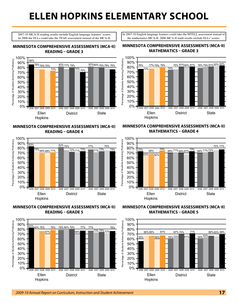## **Ellen Hopkins Elementary School**

2007-10 MCA-II reading results include English language learners' scores. In 2006 the ELLs could take the TEAE assessment instead of the MCA-II.

In 2007-10 English language learners could take the MTELL assessment instead of the mathematics MCA-II. 2006 MCA-II math results include ELLs' scores.

#### **Minnesota Comprehensive Assessments (MCA-II) Reading – Grade 3**



**Minnesota Comprehensive Assessments (MCA-II) Reading – Grade 4**



**Minnesota Comprehensive Assessments (MCA-II) Reading – Grade 5**



#### **Minnesota Comprehensive Assessments (MCA-II) Mathematics – Grade 3**



#### **Minnesota Comprehensive Assessments (MCA-II) Mathematics – Grade 4**



**Minnesota Comprehensive Assessments (MCA-II) Mathematics – Grade 5**

![](_page_16_Figure_14.jpeg)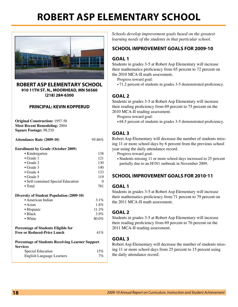## **Robert Asp Elementary School**

![](_page_17_Picture_1.jpeg)

**Robert Asp Elementary School 910 11th St. N., Moorhead, MN 56560 (218) 284-6300**

#### **Principal: Kevin Kopperud**

**Original Construction:** 1957-58 **Most Recent Remodeling:** 2004 **Square Footage:** 98,510

**Attendance Rate (2009-10)** 95.86%

#### **Enrollment by Grade (October 2009)**

| • Kindergarten                            | 138          |
|-------------------------------------------|--------------|
| $\bullet$ Grade 1                         | 121          |
| $\bullet$ Grade 2                         | 130          |
| $\bullet$ Grade 3                         | 140          |
| $\bullet$ Grade 4                         | 133          |
| $\bullet$ Grade 5                         | 119          |
| · Self-contained Special Education        | $\mathbf{0}$ |
| $\bullet$ Total                           | 781          |
| Diversity of Student Population (2009-10) |              |
| • American Indian                         | 3.1%         |
| $\bullet$ Asian                           | 1.8%         |
| • Hispanic                                | 11.3%        |
| $\bullet$ Black                           | 3.9%         |
| • White                                   | $80.0\%$     |
|                                           |              |

#### **Percentage of Students Eligible for Free or Reduced-Price Lunch** 41%

#### **Percentage of Students Receiving Learner Support Services**

| Special Education         | 15%   |
|---------------------------|-------|
| English Language Learners | $7\%$ |

*Schools develop improvement goals based on the greatest learning needs of the students in that particular school.*

#### **School Improvement Goals for 2009-10**

#### **Goal 1**

Students in grades 3-5 at Robert Asp Elementary will increase their mathematics proficiency from 65 percent to 72 percent on the 2010 MCA-II math assessment.

Progress toward goal:

• 71.2 percent of students in grades 3-5 demonstrated proficiency.

#### **Goal 2**

Students in grades 3-5 at Robert Asp Elementary will increase their reading proficiency from 69 percent to 75 percent on the 2010 MCA-II reading assessment.

Progress toward goal:

 **•** 68.5 percent of students in grades 3-5 demonstrated proficiency.

#### **Goal 3**

Robert Asp Elementary will decrease the number of students missing 11 or more school days by 6 percent from the previous school year using the daily attendance record.

Progress toward goal:

• Students missing 11 or more school days increased to 25 percent partially due to an H1N1 outbreak in November 2009.

#### **School Improvement Goals for 2010-11**

#### **Goal 1**

Students in grades 3-5 at Robert Asp Elementary will increase their mathematics proficiency from 71 percent to 79 percent on the 2011 MCA-II math assessment.

#### **Goal 2**

Students in grades 3-5 at Robert Asp Elementary will increase their reading proficiency from 69 percent to 76 percent on the 2011 MCA-II reading assessment.

#### **Goal 3**

Robert Asp Elementary will decrease the number of students missing 11 or more school days from 25 percent to 15 percent using the daily attendance record.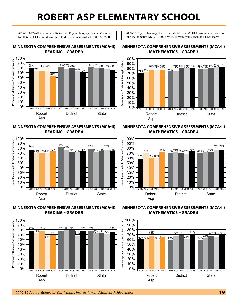## **Robert Asp Elementary School**

2007-10 MCA-II reading results include English language learners' scores. In 2006 the ELLs could take the TEAE assessment instead of the MCA-II.

**Minnesota Comprehensive Assessments (MCA-II) Reading – Grade 3**

In 2007-10 English language learners could take the MTELL assessment instead of the mathematics MCA-II. 2006 MCA-II math results include ELLs' scores.

#### 100% Percentage of Students Achieving Proficiency Percentage of Students Achieving Proficiency 90% 80% 74% 74% <u>82%</u> 77% 79% <u>74% 74% 82% 77% 79% 82%80% 79% 78% 76% 8</u> 80% 73% 74% 70% 70% 64% 60% 50% 40% 30% 20% 10% 0% 2006 2006 2007 2008 2009 2009 2010 2006 2007 2008 2009 2010 2010 2008 2007 Robert District State Asp

#### **Minnesota Comprehensive Assessments (MCA-II) Reading – Grade 4**

![](_page_18_Figure_5.jpeg)

#### **Minnesota Comprehensive Assessments (MCA-II) Reading – Grade 5**

![](_page_18_Figure_7.jpeg)

#### **Minnesota Comprehensive Assessments (MCA-II) Mathematics – Grade 3**

![](_page_18_Figure_9.jpeg)

#### **Minnesota Comprehensive Assessments (MCA-II) Mathematics – Grade 4**

![](_page_18_Figure_11.jpeg)

#### **Minnesota Comprehensive Assessments (MCA-II) Mathematics – Grade 5**

![](_page_18_Figure_13.jpeg)

#### *2009-10 Annual Report on Curriculum, Instruction and Student Achievement* **19**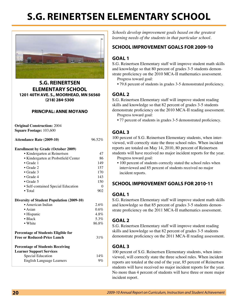## **S.G. Reinertsen Elementary School**

![](_page_19_Picture_1.jpeg)

**S.G. Reinertsen Elementary School 1201 40th Ave. S., Moorhead, MN 56560 (218) 284-5300**

#### **Principal: Anne Moyano**

**Original Construction:** 2004 **Square Footage:** 103,600

**Attendance Rate (2009-10)** 96.52%

#### **Enrollment by Grade (October 2009)**

| • Kindergarten at Reinertsen                     | 47    |
|--------------------------------------------------|-------|
| • Kindergarten at Probstfield Center             | 86    |
| $\bullet$ Grade 1                                | 149   |
| $\bullet$ Grade 2                                | 157   |
| $\bullet$ Grade 3                                | 170   |
| $\bullet$ Grade 4                                | 143   |
| $\bullet$ Grade 5                                | 150   |
| • Self-contained Special Education               | 0     |
| $\bullet$ Total                                  | 902   |
| <b>Diversity of Student Population (2009-10)</b> |       |
| • American Indian                                | 2.6%  |
| $\bullet$ Asian                                  | 0.6%  |
| • Hispanic                                       | 4.8%  |
| • Black                                          | 5.3%  |
| • White                                          | 86.8% |
| <b>Percentage of Students Eligible for</b>       |       |
| <b>Free or Reduced-Price Lunch</b>               | 31%   |
| <b>Percentage of Students Receiving</b>          |       |
| <b>Learner Support Services</b>                  |       |
| Special Education                                | 14%   |
| <b>English Language Learners</b>                 | $9\%$ |

*Schools develop improvement goals based on the greatest learning needs of the students in that particular school.*

#### **School Improvement Goals for 2009-10**

#### **Goal 1**

S.G. Reinertsen Elementary staff will improve student math skills and knowledge so that 80 percent of grades 3-5 students demonstrate proficiency on the 2010 MCA-II mathematics assessment.

- Progress toward goal:
- 79.8 percent of students in grades 3-5 demonstrated proficiency.

#### **Goal 2**

S.G. Reinertsen Elementary staff will improve student reading skills and knowledge so that 82 percent of grades 3-5 students demonstrate proficiency on the 2010 MCA-II reading assessment. Progress toward goal:

• 77 percent of students in grades 3-5 demonstrated proficiency.

#### **Goal 3**

100 percent of S.G. Reinertsen Elementary students, when interviewed, will correctly state the three school rules. When incident reports are totaled on May 14, 2010, 80 percent of Reinertsen students will have received no major incident reports for the year. Progress toward goal:

• 100 percent of students correctly stated the school rules when interviewed and 85 percent of students received no major incident reports.

#### **School Improvement Goals for 2010-11**

#### **Goal 1**

S.G. Reinertsen Elementary staff will improve student math skills and knowledge so that 85 percent of grades 3-5 students demonstrate proficiency on the 2011 MCA-II mathematics assessment.

#### **Goal 2**

S.G. Reinertsen Elementary staff will improve student reading skills and knowledge so that 82 percent of grades 3-5 students demonstrate proficiency on the 2011 MCA-II reading assessment.

#### **Goal 3**

100 percent of S.G. Reinertsen Elementary students, when interviewed, will correctly state the three school rules. When incident reports are totaled at the end of the year, 85 percent of Reinertsen students will have received no major incident reports for the year. No more than 4 percent of students will have three or more major incident report.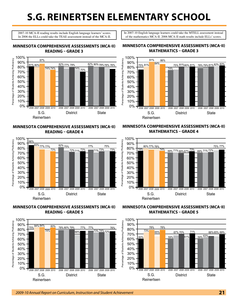## **S.G. Reinertsen Elementary School**

2007-10 MCA-II reading results include English language learners' scores. In 2006 the ELLs could take the TEAE assessment instead of the MCA-II.

**Minnesota Comprehensive Assessments (MCA-II) Reading – Grade 3**

![](_page_20_Figure_3.jpeg)

#### **Minnesota Comprehensive Assessments (MCA-II) Reading – Grade 4**

![](_page_20_Figure_5.jpeg)

**Minnesota Comprehensive Assessments (MCA-II) Reading – Grade 5**

![](_page_20_Figure_7.jpeg)

#### **Minnesota Comprehensive Assessments (MCA-II) Mathematics – Grade 3**

In 2007-10 English language learners could take the MTELL assessment instead of the mathematics MCA-II. 2006 MCA-II math results include ELLs' scores.

![](_page_20_Figure_9.jpeg)

#### **Minnesota Comprehensive Assessments (MCA-II) Mathematics – Grade 4**

![](_page_20_Figure_11.jpeg)

#### **Minnesota Comprehensive Assessments (MCA-II) Mathematics – Grade 5**

![](_page_20_Figure_13.jpeg)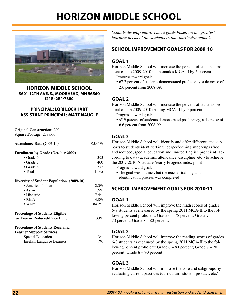## **Horizon Middle School**

![](_page_21_Picture_1.jpeg)

**Horizon Middle School 3601 12th Ave. S., Moorhead, MN 56560 (218) 284-7300**

#### **Principal: Lori Lockhart Assistant Principal: Matt Naugle**

**Original Construction:** 2004 **Square Footage:** 238,000

**Attendance Rate (2009-10)** 95.41% **Enrollment by Grade (October 2009)** • Grade 6  $\overline{393}$ <br>• Grade 7  $\overline{400}$ 

| $\bullet$ Grade 7                                | 400   |
|--------------------------------------------------|-------|
| $\bullet$ Grade 8                                | 372   |
| $\bullet$ Total                                  | 1,165 |
| <b>Diversity of Student Population (2009-10)</b> |       |
| • American Indian                                | 2.0%  |
| $\bullet$ Asian                                  | 1.6%  |
| • Hispanic                                       | 7.4%  |
| $\bullet$ Black                                  | 4.8%  |
| • White                                          | 84.2% |

#### **for Free or Reduced-Price Lunch** 33% **Percentage of Students Receiving Learner Support Services** Special Education 13% English Language Learners 7%

*Schools develop improvement goals based on the greatest learning needs of the students in that particular school.*

#### **School Improvement Goals for 2009-10**

#### **Goal 1**

Horizon Middle School will increase the percent of students proficient on the 2009-2010 mathematics MCA-II by 5 percent.

- Progress toward goal:
- • 67.7 percent of students demonstrated proficiency, a decrease of 2.6 percent from 2008-09.

#### **Goal 2**

Horizon Middle School will increase the percent of students proficient on the 2009-2010 reading MCA-II by 5 percent.

Progress toward goal:

 • 65.9 percent of students demonstrated proficiency, a decrease of 6.6 percent from 2008-09.

#### **Goal 3**

Horizon Middle School will identify and offer differentiated supports to students identified in underperforming subgroups (free and reduced, special education and limited English proficient) according to data (academic, attendance, discipline, etc.) to achieve the 2009-2010 Adequate Yearly Progress index point.

Progress toward goal:

• The goal was not met, but the teacher training and identification process was completed.

#### **School Improvement Goals for 2010-11**

#### **Goal 1**

Horizon Middle School will improve the math scores of grades 6-8 students as measured by the spring 2011 MCA-II to the following percent proficient: Grade 6 – 75 percent; Grade 7 – 70 percent; Grade 8 – 80 percent.

#### **Goal 2**

Horizon Middle School will improve the reading scores of grades 6-8 students as measured by the spring 2011 MCA-II to the following percent proficient: Grade 6 – 80 percent; Grade 7 – 70 percent; Grade 8 – 70 percent.

#### **Goal 3**

Horizon Middle School will improve the core and subgroups by evaluating current practices (curriculum, student product, etc.).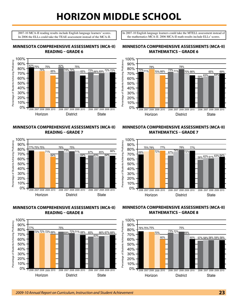## **Horizon Middle School**

2007-10 MCA-II reading results include English language learners' scores. In 2006 the ELLs could take the TEAE assessment instead of the MCA-II. In 2007-10 English language learners could take the MTELL assessment instead of the mathematics MCA-II. 2006 MCA-II math results include ELLs' scores.

#### **Minnesota Comprehensive Assessments (MCA-II) Reading – Grade 6**

![](_page_22_Figure_4.jpeg)

**Minnesota Comprehensive Assessments (MCA-II) Reading – Grade 7**

![](_page_22_Figure_6.jpeg)

#### **Minnesota Comprehensive Assessments (MCA-II) Reading – Grade 8**

![](_page_22_Figure_8.jpeg)

#### **Minnesota Comprehensive Assessments (MCA-II) Mathematics – Grade 6**

![](_page_22_Figure_10.jpeg)

#### **Minnesota Comprehensive Assessments (MCA-II) Mathematics – Grade 7**

![](_page_22_Figure_12.jpeg)

#### **Minnesota Comprehensive Assessments (MCA-II) Mathematics – Grade 8**

![](_page_22_Figure_14.jpeg)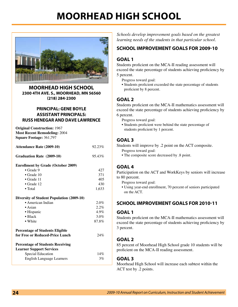## **Moorhead High School**

![](_page_23_Picture_1.jpeg)

**Moorhead High School 2300 4th Ave. S., Moorhead, MN 56560 (218) 284-2300**

#### **Principal: Gene Boyle Assistant Principals: Russ Henegar and Dave Lawrence**

**Original Construction:** 1967 **Most Recent Remodeling:** 2004 **Square Footage:** 361,797

| <b>Attendance Rate (2009-10)</b> | 92.23% |
|----------------------------------|--------|
| <b>Graduation Rate (2009-10)</b> | 95.43% |

#### **Enrollment by Grade (October 2009)**

| $\bullet$ Grade 9  |  | 477   |
|--------------------|--|-------|
| $\bullet$ Grade 10 |  | 371   |
| $\bullet$ Grade 11 |  | 405   |
| $\bullet$ Grade 12 |  | 430   |
| $\bullet$ Total    |  | 1.633 |
|                    |  |       |

#### **Diversity of Student Population (2009-10)**

| • American Indian                                                  | 2.0%    |
|--------------------------------------------------------------------|---------|
| $\bullet$ Asian                                                    | $2.2\%$ |
| • Hispanic                                                         | $4.9\%$ |
| $\bullet$ Black                                                    | 3.0%    |
| • White                                                            | 87.8%   |
| Percentage of Students Eligible<br>for Free or Reduced-Price Lunch | 24%     |
| <b>Percentage of Students Receiving</b>                            |         |
| Learner Support Services                                           |         |
| Special Education                                                  | 14%     |
| English Language Learners                                          | $3\%$   |
|                                                                    |         |

*Schools develop improvement goals based on the greatest learning needs of the students in that particular school.*

#### **School Improvement Goals for 2009-10**

#### **Goal 1**

Students proficient on the MCA-II reading assessment will exceed the state percentage of students achieving proficiency by 5 percent.

Progress toward goal:

 • Students proficient exceeded the state percentage of students proficient by 8 percent.

#### **Goal 2**

Students proficient on the MCA-II mathematics assessment will exceed the state percentage of students achieving proficiency by 6 percent.

Progress toward goal:

 • Students proficient were behind the state percentage of students proficient by 1 percent.

#### **Goal 3**

Students will improve by .2 point on the ACT composite. Progress toward goal:

 • The composite score decreased by .8 point.

#### **Goal 4**

Participation on the ACT and WorkKeys by seniors will increase to 80 percent.

Progress toward goal:

 • Using year-end enrollment, 70 percent of seniors participated on the ACT.

#### **School Improvement Goals for 2010-11**

#### **Goal 1**

Students proficient on the MCA-II mathematics assessment will exceed the state percentage of students achieving proficiency by 3 percent.

#### **Goal 2**

85 percent of Moorhead High School grade 10 students will be proficient on the MCA-II reading assessment.

#### **Goal 3**

Moorhead High School will increase each subtest within the ACT test by .2 points.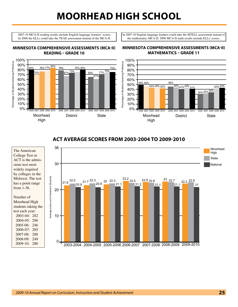## **Moorhead High School**

2007-10 MCA-II reading results include English language learners' scores. In 2006 the ELLs could take the TEAE assessment instead of the MCA-II.

**Minnesota Comprehensive Assessments (MCA-II) Reading – Grade 10**

In 2007-10 English language learners could take the MTELL assessment instead of the mathematics MCA-II. 2006 MCA-II math results include ELLs' scores.

#### 100% Percentage of Students Achieving Proficiency Percentage of Students Achieving Proficiency 90% 83% 78% 75% 80% 75% <u>80% 76% 77% 78%</u> 80% 74% 73% 71% 70% 1 67% 70% 85% 70% 61% 60% 50% 40% 30% 20% 10% 0% 2006 2006 2007 2008 2009 2009 2010 2006 2007 2008 2009 2010 2010 2008 2007 Moorhead District State High

#### **Minnesota Comprehensive Assessments (MCA-II) Mathematics – Grade 11**

![](_page_24_Figure_5.jpeg)

#### **ACT Average Scores from 2003-2004 to 2009-2010**

![](_page_24_Figure_7.jpeg)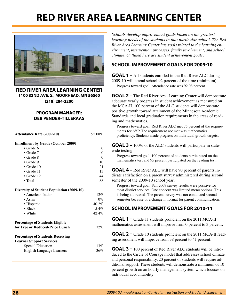## **Red River Area Learning Center**

![](_page_25_Picture_1.jpeg)

**Red River Area Learning Center 1100 32nd Ave. S., Moorhead, MN 56560 (218) 284-2200**

#### **Program Manager: Deb Pender-Tilleraas**

**Attendance Rate (2009-10)** 92.08%

**Enrollment by Grade (October 2009)**

| $\bullet$ Grade 6  |    |
|--------------------|----|
| $\bullet$ Grade 7  |    |
| $\bullet$ Grade 8  |    |
| $\bullet$ Grade 9  | 10 |
| $\bullet$ Grade 10 | 21 |
| $\bullet$ Grade 11 | 13 |
| $\bullet$ Grade 12 | 44 |
| $\bullet$ Total    | 88 |
|                    |    |

#### **Diversity of Student Population (2009-10)**

| • American Indian | 12%      |
|-------------------|----------|
| $\bullet$ Asian   | $0\%$    |
| • Hispanic        | $40.2\%$ |
| $\bullet$ Black   | 5.4%     |
| • White           | 42.4%    |
|                   |          |

#### **Percentage of Students Eligible for Free or Reduced-Price Lunch** 72%

#### **Percentage of Students Receiving Learner Support Services**

| Learner Support Services  |     |
|---------------------------|-----|
| Special Education         | 13% |
| English Language Learners | 36% |
|                           |     |

*Schools develop improvement goals based on the greatest learning needs of the students in that particular school. The Red River Area Learning Center has goals related to the learning environment, intervention processes, family involvement, and school climate. Outlined here are student achievement goals.*

#### **School Improvement Goals for 2009-10**

**GOAL 1 –** All students enrolled in the Red River ALC during 2009-10 will attend school 92 percent of the time (minimum). Progress toward goal: Attendance rate was 92.08 percent.

**GOAL 2** – The Red River Area Learning Center will demonstrate adequate yearly progress in student achievement as measured on the MCA-II. 100 percent of the ALC students will demonstrate positive growth toward attainment of the Minnesota Academic Standards and local graduation requirements in the areas of reading and mathematics.

Progress toward goal: Red River ALC met 75 percent of the requirements for AYP. The requirement not met was mathematics proficiency. Students made progress on individual growth targets.

**GOAL 3 –** 100% of the ALC students will participate in statewide testing.

Progress toward goal: 100 percent of students participated on the mathematics test and 95 percent participated on the reading test.

**GOAL 4** – Red River ALC will have 90 percent of parents indicate satisfaction on a parent survey administered during second semester of the 2009-10 school year.

Progress toward goal: Fall 2009 survey results were positive for most district services. One concern was limited menu options. This is being addressed. The parent survey was not conducted second semester because of a change in format for parent communication.

#### **School Improvement Goals for 2010-11**

**GOAL 1** – Grade 11 students proficient on the 2011 MCA-II mathematics assessment will improve from 0 percent to 3 percent.

**GOAL 2 –** Grade 10 students proficient on the 2011 MCA-II reading assessment will improve from 38 percent to 41 percent.

**GOAL 3 –** 100 percent of Red River ALC students will be introduced to the Circle of Courage model that addresses school climate and personal responsibility. 20 percent of students will require additional support. These students will demonstrate a minimum of 10 percent growth on an hourly management system which focuses on individual accountability.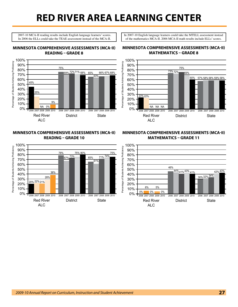## **Red River Area Learning Center**

2007-10 MCA-II reading results include English language learners' scores. In 2006 the ELLs could take the TEAE assessment instead of the MCA-II. In 2007-10 English language learners could take the MTELL assessment instead of the mathematics MCA-II. 2006 MCA-II math results include ELLs' scores.

#### **Minnesota Comprehensive Assessments (MCA-II) Reading – Grade 8**

![](_page_26_Figure_4.jpeg)

#### **Minnesota Comprehensive Assessments (MCA-II) Reading – Grade 10**

![](_page_26_Figure_6.jpeg)

#### **Minnesota Comprehensive Assessments (MCA-II) Mathematics – Grade 8**

![](_page_26_Figure_8.jpeg)

#### **Minnesota Comprehensive Assessments (MCA-II) Mathematics – Grade 11**

![](_page_26_Figure_10.jpeg)